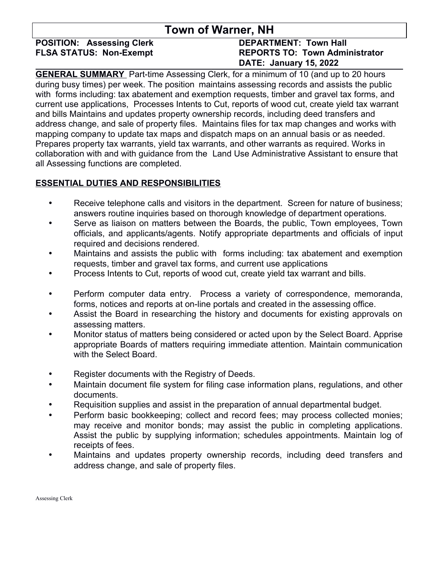### **Town of Warner, NH**

# **POSITION: Assessing Clerk DEPARTMENT: Town Hall**

## **FLSA STATUS: Non-Exempt REPORTS TO: Town Administrator DATE: January 15, 2022**

**GENERAL SUMMARY** Part-time Assessing Clerk, for a minimum of 10 (and up to 20 hours during busy times) per week. The position maintains assessing records and assists the public with forms including: tax abatement and exemption requests, timber and gravel tax forms, and current use applications, Processes Intents to Cut, reports of wood cut, create yield tax warrant and bills Maintains and updates property ownership records, including deed transfers and address change, and sale of property files. Maintains files for tax map changes and works with mapping company to update tax maps and dispatch maps on an annual basis or as needed. Prepares property tax warrants, yield tax warrants, and other warrants as required. Works in collaboration with and with guidance from the Land Use Administrative Assistant to ensure that all Assessing functions are completed.

#### **ESSENTIAL DUTIES AND RESPONSIBILITIES**

- Receive telephone calls and visitors in the department. Screen for nature of business; answers routine inquiries based on thorough knowledge of department operations.
- Serve as liaison on matters between the Boards, the public, Town employees, Town officials, and applicants/agents. Notify appropriate departments and officials of input required and decisions rendered.
- Maintains and assists the public with forms including: tax abatement and exemption requests, timber and gravel tax forms, and current use applications
- Process Intents to Cut, reports of wood cut, create yield tax warrant and bills.
- Perform computer data entry. Process a variety of correspondence, memoranda, forms, notices and reports at on-line portals and created in the assessing office.
- Assist the Board in researching the history and documents for existing approvals on assessing matters.
- Monitor status of matters being considered or acted upon by the Select Board. Apprise appropriate Boards of matters requiring immediate attention. Maintain communication with the Select Board.
- Register documents with the Registry of Deeds.
- Maintain document file system for filing case information plans, regulations, and other documents.
- Requisition supplies and assist in the preparation of annual departmental budget.
- Perform basic bookkeeping; collect and record fees; may process collected monies; may receive and monitor bonds; may assist the public in completing applications. Assist the public by supplying information; schedules appointments. Maintain log of receipts of fees.
- Maintains and updates property ownership records, including deed transfers and address change, and sale of property files.

Assessing Clerk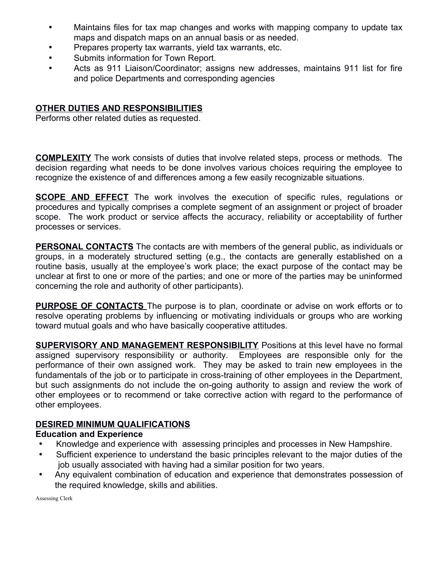- Maintains files for tax map changes and works with mapping company to update tax maps and dispatch maps on an annual basis or as needed.
- Prepares property tax warrants, yield tax warrants, etc.
- Submits information for Town Report.
- Acts as 911 Liaison/Coordinator; assigns new addresses, maintains 911 list for fire and police Departments and corresponding agencies

#### **OTHER DUTIES AND RESPONSIBILITIES**

Performs other related duties as requested.

**COMPLEXITY** The work consists of duties that involve related steps, process or methods. The decision regarding what needs to be done involves various choices requiring the employee to recognize the existence of and differences among a few easily recognizable situations.

**SCOPE AND EFFECT** The work involves the execution of specific rules, regulations or procedures and typically comprises a complete segment of an assignment or project of broader scope. The work product or service affects the accuracy, reliability or acceptability of further processes or services.

**PERSONAL CONTACTS** The contacts are with members of the general public, as individuals or groups, in a moderately structured setting (e.g., the contacts are generally established on a routine basis, usually at the employee's work place; the exact purpose of the contact may be unclear at first to one or more of the parties; and one or more of the parties may be uninformed concerning the role and authority of other participants).

**PURPOSE OF CONTACTS** The purpose is to plan, coordinate or advise on work efforts or to resolve operating problems by influencing or motivating individuals or groups who are working toward mutual goals and who have basically cooperative attitudes.

**SUPERVISORY AND MANAGEMENT RESPONSIBILITY** Positions at this level have no formal assigned supervisory responsibility or authority. Employees are responsible only for the performance of their own assigned work. They may be asked to train new employees in the fundamentals of the job or to participate in cross-training of other employees in the Department, but such assignments do not include the on-going authority to assign and review the work of other employees or to recommend or take corrective action with regard to the performance of other employees.

#### **DESIRED MINIMUM QUALIFICATIONS**

#### **Education and Experience**

- Knowledge and experience with assessing principles and processes in New Hampshire.
- Sufficient experience to understand the basic principles relevant to the major duties of the job usually associated with having had a similar position for two years.
- Any equivalent combination of education and experience that demonstrates possession of the required knowledge, skills and abilities.

Assessing Clerk